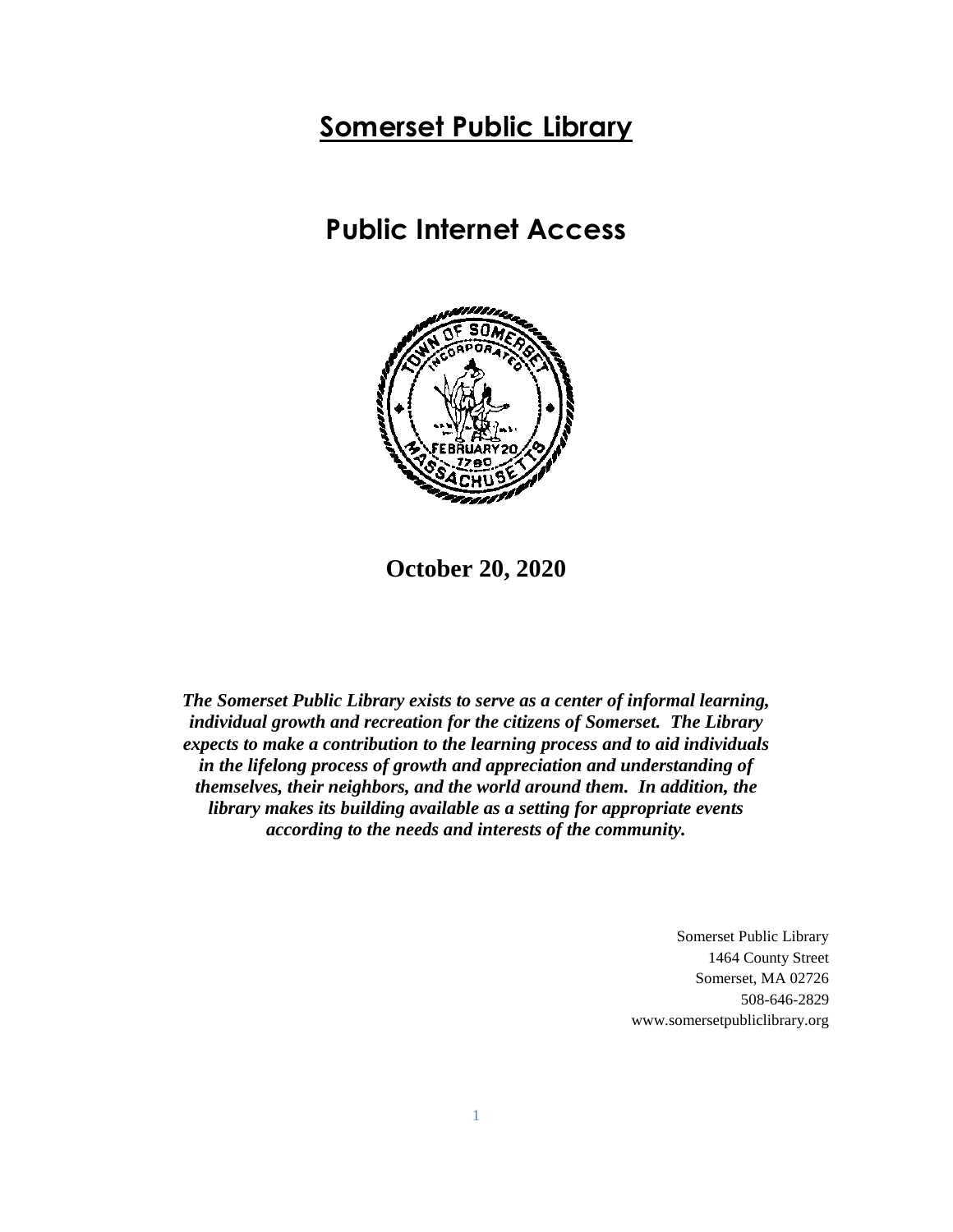# **Somerset Public Library**

# **Public Internet Access**



**October 20, 2020**

*The Somerset Public Library exists to serve as a center of informal learning, individual growth and recreation for the citizens of Somerset. The Library expects to make a contribution to the learning process and to aid individuals in the lifelong process of growth and appreciation and understanding of themselves, their neighbors, and the world around them. In addition, the library makes its building available as a setting for appropriate events according to the needs and interests of the community.*

> Somerset Public Library 1464 County Street Somerset, MA 02726 508-646-2829 www.somersetpubliclibrary.org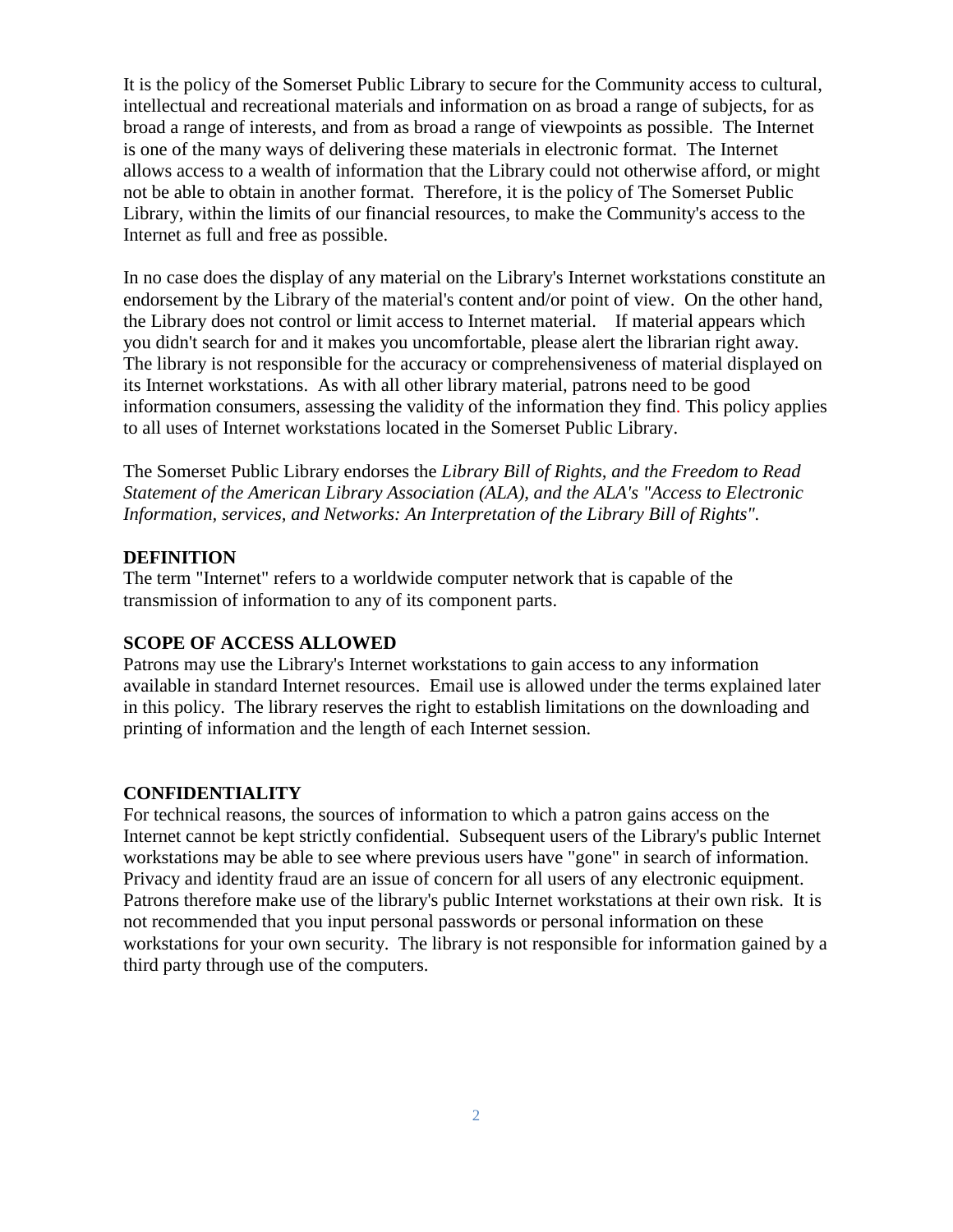It is the policy of the Somerset Public Library to secure for the Community access to cultural, intellectual and recreational materials and information on as broad a range of subjects, for as broad a range of interests, and from as broad a range of viewpoints as possible. The Internet is one of the many ways of delivering these materials in electronic format. The Internet allows access to a wealth of information that the Library could not otherwise afford, or might not be able to obtain in another format. Therefore, it is the policy of The Somerset Public Library, within the limits of our financial resources, to make the Community's access to the Internet as full and free as possible.

In no case does the display of any material on the Library's Internet workstations constitute an endorsement by the Library of the material's content and/or point of view. On the other hand, the Library does not control or limit access to Internet material. If material appears which you didn't search for and it makes you uncomfortable, please alert the librarian right away. The library is not responsible for the accuracy or comprehensiveness of material displayed on its Internet workstations. As with all other library material, patrons need to be good information consumers, assessing the validity of the information they find. This policy applies to all uses of Internet workstations located in the Somerset Public Library.

The Somerset Public Library endorses the *Library Bill of Rights, and the Freedom to Read Statement of the American Library Association (ALA), and the ALA's "Access to Electronic Information, services, and Networks: An Interpretation of the Library Bill of Rights".*

#### **DEFINITION**

The term "Internet" refers to a worldwide computer network that is capable of the transmission of information to any of its component parts.

#### **SCOPE OF ACCESS ALLOWED**

Patrons may use the Library's Internet workstations to gain access to any information available in standard Internet resources. Email use is allowed under the terms explained later in this policy. The library reserves the right to establish limitations on the downloading and printing of information and the length of each Internet session.

#### **CONFIDENTIALITY**

For technical reasons, the sources of information to which a patron gains access on the Internet cannot be kept strictly confidential. Subsequent users of the Library's public Internet workstations may be able to see where previous users have "gone" in search of information. Privacy and identity fraud are an issue of concern for all users of any electronic equipment. Patrons therefore make use of the library's public Internet workstations at their own risk. It is not recommended that you input personal passwords or personal information on these workstations for your own security. The library is not responsible for information gained by a third party through use of the computers.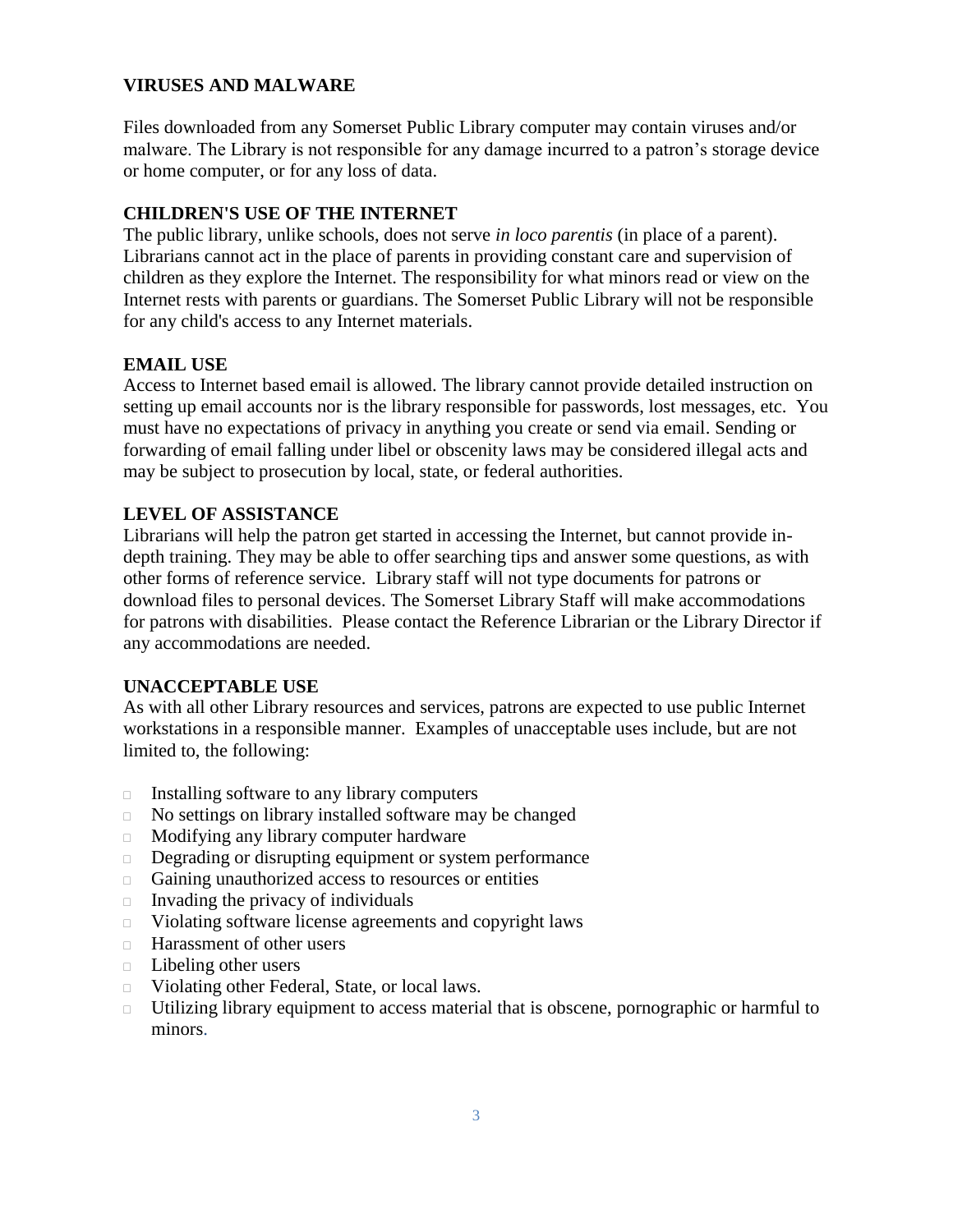### **VIRUSES AND MALWARE**

Files downloaded from any Somerset Public Library computer may contain viruses and/or malware. The Library is not responsible for any damage incurred to a patron's storage device or home computer, or for any loss of data.

### **CHILDREN'S USE OF THE INTERNET**

The public library, unlike schools, does not serve *in loco parentis* (in place of a parent). Librarians cannot act in the place of parents in providing constant care and supervision of children as they explore the Internet. The responsibility for what minors read or view on the Internet rests with parents or guardians. The Somerset Public Library will not be responsible for any child's access to any Internet materials.

### **EMAIL USE**

Access to Internet based email is allowed. The library cannot provide detailed instruction on setting up email accounts nor is the library responsible for passwords, lost messages, etc. You must have no expectations of privacy in anything you create or send via email. Sending or forwarding of email falling under libel or obscenity laws may be considered illegal acts and may be subject to prosecution by local, state, or federal authorities.

# **LEVEL OF ASSISTANCE**

Librarians will help the patron get started in accessing the Internet, but cannot provide indepth training. They may be able to offer searching tips and answer some questions, as with other forms of reference service. Library staff will not type documents for patrons or download files to personal devices. The Somerset Library Staff will make accommodations for patrons with disabilities. Please contact the Reference Librarian or the Library Director if any accommodations are needed.

# **UNACCEPTABLE USE**

As with all other Library resources and services, patrons are expected to use public Internet workstations in a responsible manner. Examples of unacceptable uses include, but are not limited to, the following:

- $\Box$  Installing software to any library computers
- No settings on library installed software may be changed
- Modifying any library computer hardware
- Degrading or disrupting equipment or system performance
- Gaining unauthorized access to resources or entities
- $\Box$  Invading the privacy of individuals
- Violating software license agreements and copyright laws
- □ Harassment of other users
- Libeling other users
- Violating other Federal, State, or local laws.
- Utilizing library equipment to access material that is obscene, pornographic or harmful to minors.